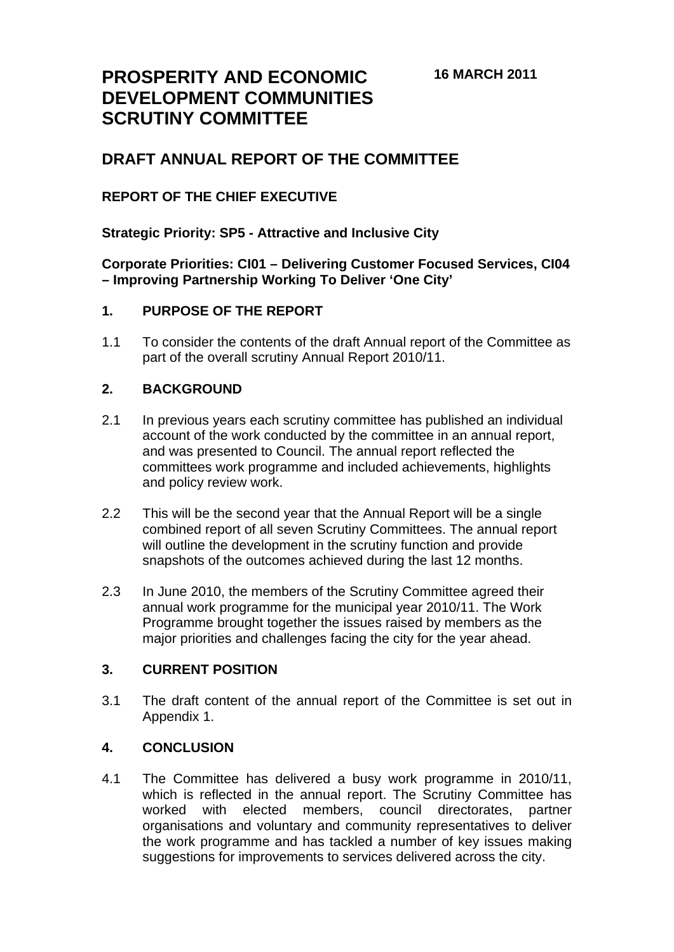# **PROSPERITY AND ECONOMIC DEVELOPMENT COMMUNITIES SCRUTINY COMMITTEE**

# **DRAFT ANNUAL REPORT OF THE COMMITTEE**

# **REPORT OF THE CHIEF EXECUTIVE**

**Strategic Priority: SP5 - Attractive and Inclusive City** 

**Corporate Priorities: CI01 – Delivering Customer Focused Services, CI04 – Improving Partnership Working To Deliver 'One City'** 

#### **1. PURPOSE OF THE REPORT**

1.1 To consider the contents of the draft Annual report of the Committee as part of the overall scrutiny Annual Report 2010/11.

#### **2. BACKGROUND**

- 2.1 In previous years each scrutiny committee has published an individual account of the work conducted by the committee in an annual report, and was presented to Council. The annual report reflected the committees work programme and included achievements, highlights and policy review work.
- 2.2 This will be the second year that the Annual Report will be a single combined report of all seven Scrutiny Committees. The annual report will outline the development in the scrutiny function and provide snapshots of the outcomes achieved during the last 12 months.
- 2.3 In June 2010, the members of the Scrutiny Committee agreed their annual work programme for the municipal year 2010/11. The Work Programme brought together the issues raised by members as the major priorities and challenges facing the city for the year ahead.

#### **3. CURRENT POSITION**

3.1 The draft content of the annual report of the Committee is set out in Appendix 1.

#### **4. CONCLUSION**

4.1 The Committee has delivered a busy work programme in 2010/11, which is reflected in the annual report. The Scrutiny Committee has worked with elected members, council directorates, partner organisations and voluntary and community representatives to deliver the work programme and has tackled a number of key issues making suggestions for improvements to services delivered across the city.